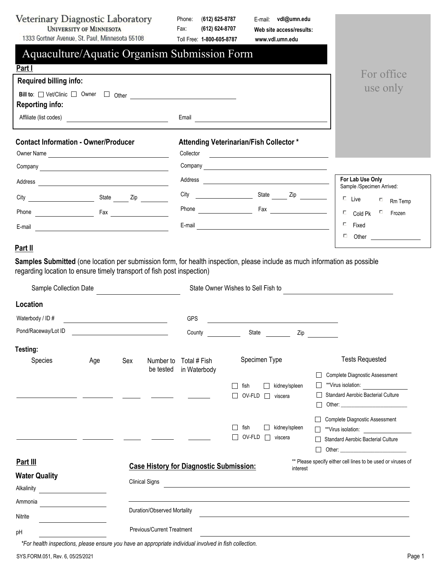Phone: (**612) 625-8787** Fax: **(612) 624-8707** **Web site access/results:** E-mail: **vdl@umn.edu**

| 1333 Gortner Avenue, St. Paul, Minnesota 55108                                                                                                                                                                                 |                                                       |                            |                        | Toll Free: 1-800-605-8787                                            |                | www.vdl.umn.edu                               |                                                                                                                                                                                                                                      |
|--------------------------------------------------------------------------------------------------------------------------------------------------------------------------------------------------------------------------------|-------------------------------------------------------|----------------------------|------------------------|----------------------------------------------------------------------|----------------|-----------------------------------------------|--------------------------------------------------------------------------------------------------------------------------------------------------------------------------------------------------------------------------------------|
| Aquaculture/Aquatic Organism Submission Form<br>Part I                                                                                                                                                                         |                                                       |                            |                        |                                                                      |                |                                               |                                                                                                                                                                                                                                      |
| Required billing info:                                                                                                                                                                                                         |                                                       |                            |                        |                                                                      |                | For office                                    |                                                                                                                                                                                                                                      |
| Bill to: Vet/Clinic Owner O Other Changes and Changes Other Changes and Changes and Changes of the U                                                                                                                           |                                                       |                            |                        |                                                                      |                |                                               | use only                                                                                                                                                                                                                             |
| <b>Reporting info:</b>                                                                                                                                                                                                         |                                                       |                            |                        |                                                                      |                |                                               |                                                                                                                                                                                                                                      |
|                                                                                                                                                                                                                                |                                                       |                            |                        |                                                                      |                |                                               |                                                                                                                                                                                                                                      |
| <b>Contact Information - Owner/Producer</b><br>Owner Name                                                                                                                                                                      |                                                       |                            |                        | Attending Veterinarian/Fish Collector*<br>Collector <b>Collector</b> |                |                                               |                                                                                                                                                                                                                                      |
|                                                                                                                                                                                                                                |                                                       |                            |                        |                                                                      |                |                                               |                                                                                                                                                                                                                                      |
|                                                                                                                                                                                                                                |                                                       |                            |                        |                                                                      |                |                                               | For Lab Use Only                                                                                                                                                                                                                     |
|                                                                                                                                                                                                                                |                                                       |                            |                        |                                                                      |                |                                               | Sample /Specimen Arrived:                                                                                                                                                                                                            |
|                                                                                                                                                                                                                                |                                                       |                            |                        |                                                                      |                |                                               | $\Box$ Live<br>$\Box$ Rm Temp                                                                                                                                                                                                        |
|                                                                                                                                                                                                                                |                                                       |                            |                        |                                                                      |                |                                               | $\Box$ Cold Pk<br>л.<br>Frozen<br>П.<br>Fixed                                                                                                                                                                                        |
| E-mail experience of the state of the state of the state of the state of the state of the state of the state of the state of the state of the state of the state of the state of the state of the state of the state of the st |                                                       |                            |                        |                                                                      |                | E-mail <b>E-mail E-mail</b>                   | п.                                                                                                                                                                                                                                   |
| Part II                                                                                                                                                                                                                        |                                                       |                            |                        |                                                                      |                |                                               |                                                                                                                                                                                                                                      |
| regarding location to ensure timely transport of fish post inspection)<br>Sample Collection Date                                                                                                                               |                                                       |                            |                        | State Owner Wishes to Sell Fish to                                   |                |                                               | Samples Submitted (one location per submission form, for health inspection, please include as much information as possible                                                                                                           |
| Location                                                                                                                                                                                                                       |                                                       |                            |                        |                                                                      |                |                                               |                                                                                                                                                                                                                                      |
|                                                                                                                                                                                                                                |                                                       |                            |                        |                                                                      |                |                                               |                                                                                                                                                                                                                                      |
| Waterbody / ID #                                                                                                                                                                                                               | <u> 1989 - Johann Stein, fransk politik (d. 1989)</u> |                            |                        | <b>GPS</b>                                                           |                | <u> 1980 - Andrea Andrew Maria (h. 1980).</u> |                                                                                                                                                                                                                                      |
|                                                                                                                                                                                                                                |                                                       |                            |                        | County                                                               |                |                                               |                                                                                                                                                                                                                                      |
| Testing:<br>Species                                                                                                                                                                                                            | Age                                                   | Sex                        | Number to<br>be tested | Total # Fish<br>in Waterbody                                         | fish           | Specimen Type<br>kidney/spleen                | <b>Tests Requested</b><br>Complete Diagnostic Assessment<br>**Virus isolation:                                                                                                                                                       |
|                                                                                                                                                                                                                                |                                                       |                            |                        |                                                                      | OV-FLD         | □ viscera                                     | <b>Standard Aerobic Bacterial Culture</b>                                                                                                                                                                                            |
|                                                                                                                                                                                                                                |                                                       |                            |                        |                                                                      | fish<br>OV-FLD | kidney/spleen<br>viscera<br>$\Box$            | Complete Diagnostic Assessment<br>**Virus isolation:<br>Standard Aerobic Bacterial Culture                                                                                                                                           |
|                                                                                                                                                                                                                                |                                                       |                            |                        |                                                                      |                |                                               | Other: <u>with the contract of the contract of the contract of the contract of the contract of the contract of the contract of the contract of the contract of the contract of the contract of the contract of the contract of t</u> |
| Part III                                                                                                                                                                                                                       |                                                       |                            |                        | <b>Case History for Diagnostic Submission:</b>                       |                |                                               | ** Please specify either cell lines to be used or viruses of                                                                                                                                                                         |
| <b>Water Quality</b><br><b>Clinical Signs</b><br>Alkalinity                                                                                                                                                                    |                                                       |                            |                        |                                                                      |                | interest                                      | <u> 1980 - Johann John Stein, mars ar yw i ganledd y cyfeiriad y cyfeiriad y cyfeiriad y cyfeiriad y cyfeiriad y</u>                                                                                                                 |
| Ammonia                                                                                                                                                                                                                        |                                                       |                            |                        |                                                                      |                |                                               |                                                                                                                                                                                                                                      |
| Nitrite                                                                                                                                                                                                                        | Duration/Observed Mortality                           |                            |                        |                                                                      |                |                                               |                                                                                                                                                                                                                                      |
| рH                                                                                                                                                                                                                             |                                                       | Previous/Current Treatment |                        |                                                                      |                |                                               |                                                                                                                                                                                                                                      |
| *For bootth increations, please enoure you beig an enprepriete individual involved in fight collection                                                                                                                         |                                                       |                            |                        |                                                                      |                |                                               | the control of the control of the control of the control of the control of the control of the control of the control of the control of the control of the control of the control of the control of the control of the control        |

*\*For health inspections, please ensure you have an appropriate individual involved in fish collection.*